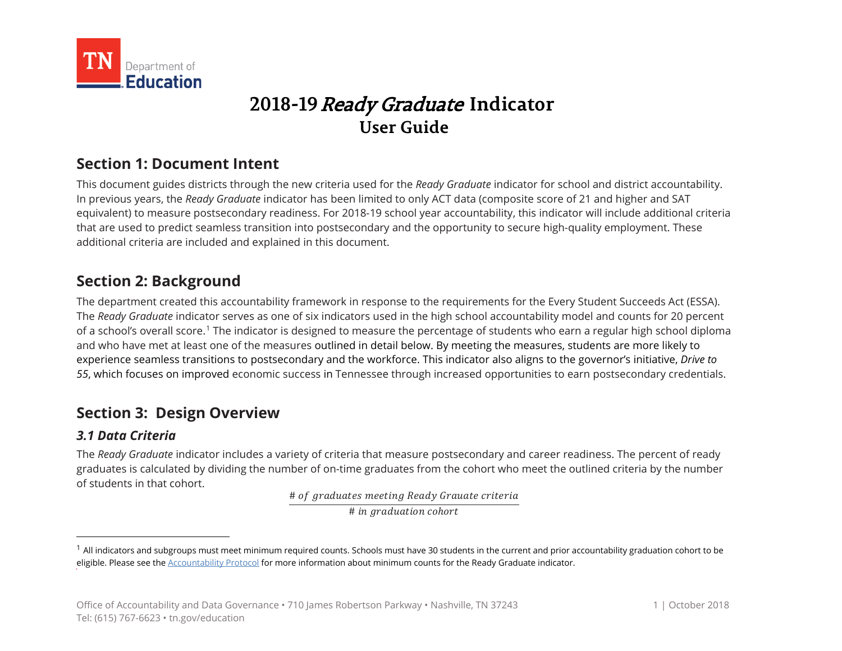

# **2018-19** Ready Graduate **Indicator User Guide**

# **Section 1: Document Intent**

This document guides districts through the new criteria used for the *Ready Graduate* indicator for school and district accountability. In previous years, the *Ready Graduate* indicator has been limited to only ACT data (composite score of 21 and higher and SAT equivalent) to measure postsecondary readiness. For 2018-19 school year accountability, this indicator will include additional criteria that are used to predict seamless transition into postsecondary and the opportunity to secure high-quality employment. These additional criteria are included and explained in this document.

## **Section 2: Background**

The department created this accountability framework in response to the requirements for the Every Student Succeeds Act (ESSA). The *Ready Graduate* indicator serves as one of six indicators used in the high school accountability model and counts for 20 percent of a school's overall score.<sup>[1](#page-0-0)</sup> The indicator is designed to measure the percentage of students who earn a regular high school diploma and who have met at least one of the measures outlined in detail below. By meeting the measures, students are more likely to experience seamless transitions to postsecondary and the workforce. This indicator also aligns to the governor's initiative, *Drive to 55*, which focuses on improved economic success in Tennessee through increased opportunities to earn postsecondary credentials.

## **Section 3: Design Overview**

### *3.1 Data Criteria*

The *Ready Graduate* indicator includes a variety of criteria that measure postsecondary and career readiness. The percent of ready graduates is calculated by dividing the number of on-time graduates from the cohort who meet the outlined criteria by the number of students in that cohort.

# of graduates meeting Ready Grauate criteria

 $\overline{\#}$  in graduation cohort

<span id="page-0-0"></span> $1$  All indicators and subgroups must meet minimum required counts. Schools must have 30 students in the current and prior accountability graduation cohort to be eligible. Please see the [Accountability Protocol](https://www.tn.gov/content/dam/tn/education/data/Accountability_Protocol_2018.pdf) for more information about minimum counts for the Ready Graduate indicator.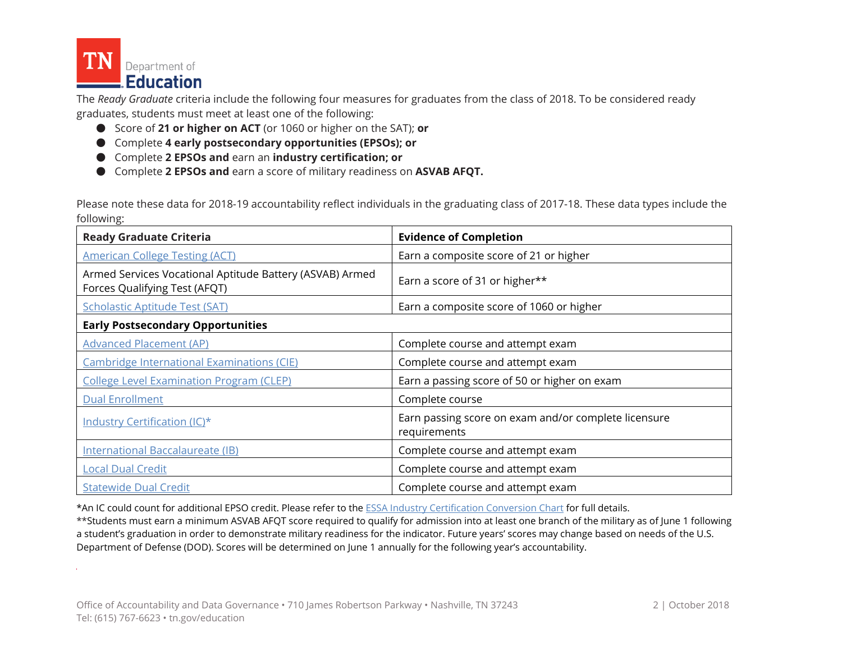

The *Ready Graduate* criteria include the following four measures for graduates from the class of 2018. To be considered ready graduates, students must meet at least one of the following:

- Score of **21 or higher on ACT** (or 1060 or higher on the SAT); **or**
- Complete 4 early postsecondary opportunities (EPSOs); or
- Complete **2 EPSOs and** earn an **industry certification; or**
- Complete **2 EPSOs and** earn a score of military readiness on **ASVAB AFQT.**

Please note these data for 2018-19 accountability reflect individuals in the graduating class of 2017-18. These data types include the following:

| <b>Ready Graduate Criteria</b>                                                            | <b>Evidence of Completion</b>                                        |
|-------------------------------------------------------------------------------------------|----------------------------------------------------------------------|
| <b>American College Testing (ACT)</b>                                                     | Earn a composite score of 21 or higher                               |
| Armed Services Vocational Aptitude Battery (ASVAB) Armed<br>Forces Qualifying Test (AFQT) | Earn a score of 31 or higher**                                       |
| <b>Scholastic Aptitude Test (SAT)</b>                                                     | Earn a composite score of 1060 or higher                             |
| <b>Early Postsecondary Opportunities</b>                                                  |                                                                      |
| <b>Advanced Placement (AP)</b>                                                            | Complete course and attempt exam                                     |
| <b>Cambridge International Examinations (CIE)</b>                                         | Complete course and attempt exam                                     |
| <b>College Level Examination Program (CLEP)</b>                                           | Earn a passing score of 50 or higher on exam                         |
| <b>Dual Enrollment</b>                                                                    | Complete course                                                      |
| Industry Certification (IC)*                                                              | Earn passing score on exam and/or complete licensure<br>requirements |
| International Baccalaureate (IB)                                                          | Complete course and attempt exam                                     |
| <b>Local Dual Credit</b>                                                                  | Complete course and attempt exam                                     |
| <b>Statewide Dual Credit</b>                                                              | Complete course and attempt exam                                     |

\*An IC could count for additional EPSO credit. Please refer to the [ESSA Industry Certification Conversion Chart](https://www.tn.gov/content/dam/tn/education/ccte/cte/cte_certs_ESSA_conversion.xlsx) for full details.

\*\*Students must earn a minimum ASVAB AFQT score required to qualify for admission into at least one branch of the military as of June 1 following a student's graduation in order to demonstrate military readiness for the indicator. Future years' scores may change based on needs of the U.S. Department of Defense (DOD). Scores will be determined on June 1 annually for the following year's accountability.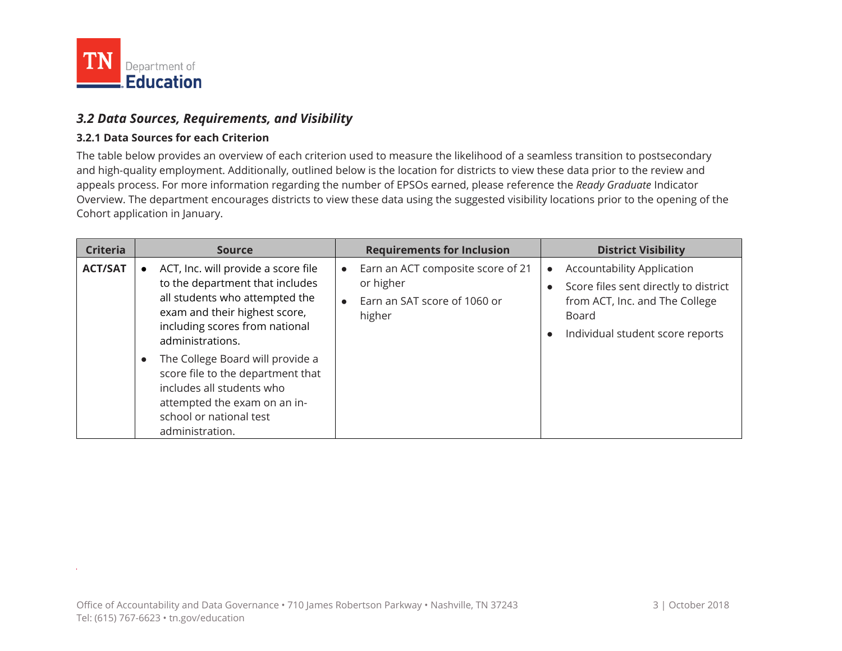

 $\sim$ 

#### *3.2 Data Sources, Requirements, and Visibility*

#### **3.2.1 Data Sources for each Criterion**

The table below provides an overview of each criterion used to measure the likelihood of a seamless transition to postsecondary and high-quality employment. Additionally, outlined below is the location for districts to view these data prior to the review and appeals process. For more information regarding the number of EPSOs earned, please reference the *Ready Graduate* Indicator Overview. The department encourages districts to view these data using the suggested visibility locations prior to the opening of the Cohort application in January.

| <b>Criteria</b> | <b>Source</b>                                                                                                                                                                                                                                    | <b>Requirements for Inclusion</b>                                                        | <b>District Visibility</b>                                                                                                                                |
|-----------------|--------------------------------------------------------------------------------------------------------------------------------------------------------------------------------------------------------------------------------------------------|------------------------------------------------------------------------------------------|-----------------------------------------------------------------------------------------------------------------------------------------------------------|
| <b>ACT/SAT</b>  | ACT, Inc. will provide a score file<br>to the department that includes<br>all students who attempted the<br>exam and their highest score,<br>including scores from national<br>administrations.<br>The College Board will provide a<br>$\bullet$ | Earn an ACT composite score of 21<br>or higher<br>Earn an SAT score of 1060 or<br>higher | <b>Accountability Application</b><br>Score files sent directly to district<br>from ACT, Inc. and The College<br>Board<br>Individual student score reports |
|                 | score file to the department that<br>includes all students who<br>attempted the exam on an in-<br>school or national test<br>administration.                                                                                                     |                                                                                          |                                                                                                                                                           |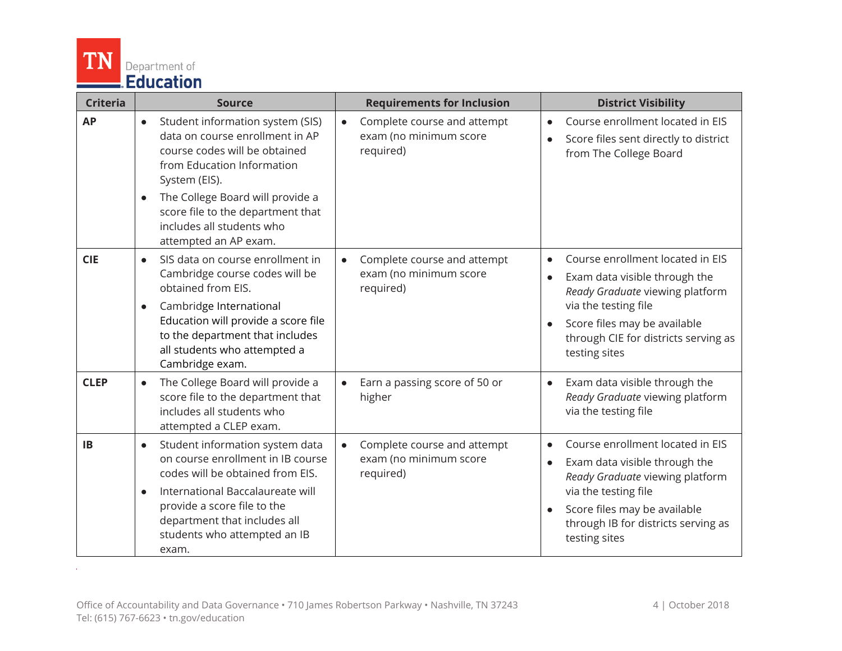

 $\Delta \phi$  and  $\Delta \phi$  and  $\Delta \phi$ 

| <b>Criteria</b> | <b>Source</b>                                                                                                                                                                                                                                                                          | <b>Requirements for Inclusion</b>                                               | <b>District Visibility</b>                                                                                                                                                                                            |
|-----------------|----------------------------------------------------------------------------------------------------------------------------------------------------------------------------------------------------------------------------------------------------------------------------------------|---------------------------------------------------------------------------------|-----------------------------------------------------------------------------------------------------------------------------------------------------------------------------------------------------------------------|
| <b>AP</b>       | Student information system (SIS)<br>$\bullet$<br>data on course enrollment in AP<br>course codes will be obtained<br>from Education Information<br>System (EIS).<br>The College Board will provide a<br>$\bullet$<br>score file to the department that<br>includes all students who    | Complete course and attempt<br>$\bullet$<br>exam (no minimum score<br>required) | Course enrollment located in EIS<br>Score files sent directly to district<br>from The College Board                                                                                                                   |
| <b>CIE</b>      | attempted an AP exam.<br>SIS data on course enrollment in<br>Cambridge course codes will be<br>obtained from EIS.<br>Cambridge International<br>$\bullet$<br>Education will provide a score file<br>to the department that includes<br>all students who attempted a<br>Cambridge exam. | Complete course and attempt<br>$\bullet$<br>exam (no minimum score<br>required) | Course enrollment located in EIS<br>Exam data visible through the<br>Ready Graduate viewing platform<br>via the testing file<br>Score files may be available<br>through CIE for districts serving as<br>testing sites |
| <b>CLEP</b>     | The College Board will provide a<br>$\bullet$<br>score file to the department that<br>includes all students who<br>attempted a CLEP exam.                                                                                                                                              | Earn a passing score of 50 or<br>higher                                         | Exam data visible through the<br>Ready Graduate viewing platform<br>via the testing file                                                                                                                              |
| <b>IB</b>       | Student information system data<br>$\bullet$<br>on course enrollment in IB course<br>codes will be obtained from EIS.<br>International Baccalaureate will<br>$\bullet$<br>provide a score file to the<br>department that includes all<br>students who attempted an IB<br>exam.         | Complete course and attempt<br>$\bullet$<br>exam (no minimum score<br>required) | Course enrollment located in EIS<br>Exam data visible through the<br>Ready Graduate viewing platform<br>via the testing file<br>Score files may be available<br>through IB for districts serving as<br>testing sites  |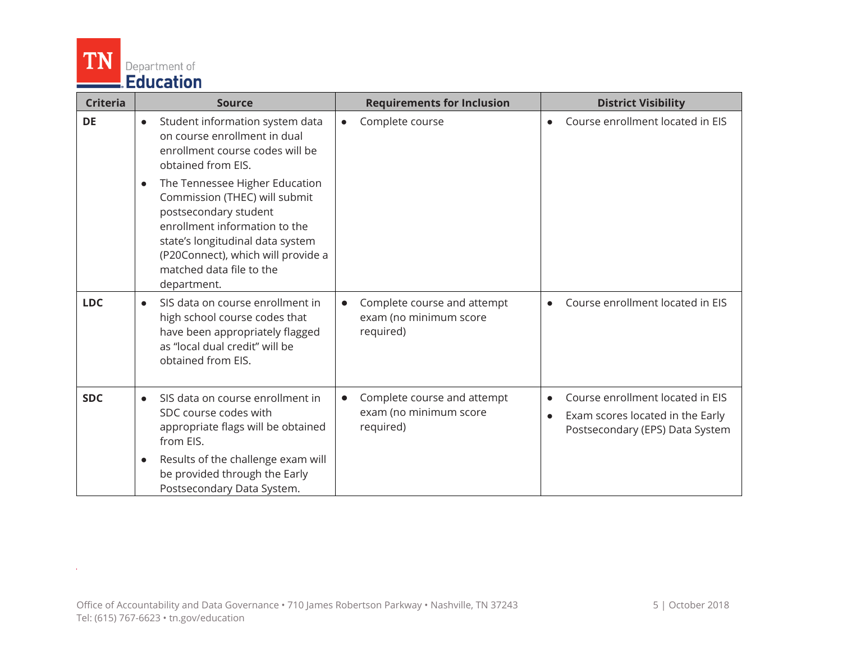

 $\Delta \phi$  and  $\Delta \phi$  and  $\Delta \phi$ 

| <b>Criteria</b> | <b>Source</b>                                                                                                                                                                                                                                               | <b>Requirements for Inclusion</b>                                               | <b>District Visibility</b>                                                                              |
|-----------------|-------------------------------------------------------------------------------------------------------------------------------------------------------------------------------------------------------------------------------------------------------------|---------------------------------------------------------------------------------|---------------------------------------------------------------------------------------------------------|
| <b>DE</b>       | Student information system data<br>$\bullet$<br>on course enrollment in dual<br>enrollment course codes will be<br>obtained from EIS.                                                                                                                       | Complete course<br>$\bullet$                                                    | Course enrollment located in EIS                                                                        |
|                 | The Tennessee Higher Education<br>$\bullet$<br>Commission (THEC) will submit<br>postsecondary student<br>enrollment information to the<br>state's longitudinal data system<br>(P20Connect), which will provide a<br>matched data file to the<br>department. |                                                                                 |                                                                                                         |
| <b>LDC</b>      | SIS data on course enrollment in<br>$\bullet$<br>high school course codes that<br>have been appropriately flagged<br>as "local dual credit" will be<br>obtained from EIS.                                                                                   | Complete course and attempt<br>$\bullet$<br>exam (no minimum score<br>required) | Course enrollment located in EIS                                                                        |
| <b>SDC</b>      | SIS data on course enrollment in<br>$\bullet$<br>SDC course codes with<br>appropriate flags will be obtained<br>from EIS.<br>Results of the challenge exam will<br>$\bullet$<br>be provided through the Early<br>Postsecondary Data System.                 | Complete course and attempt<br>$\bullet$<br>exam (no minimum score<br>required) | Course enrollment located in EIS<br>Exam scores located in the Early<br>Postsecondary (EPS) Data System |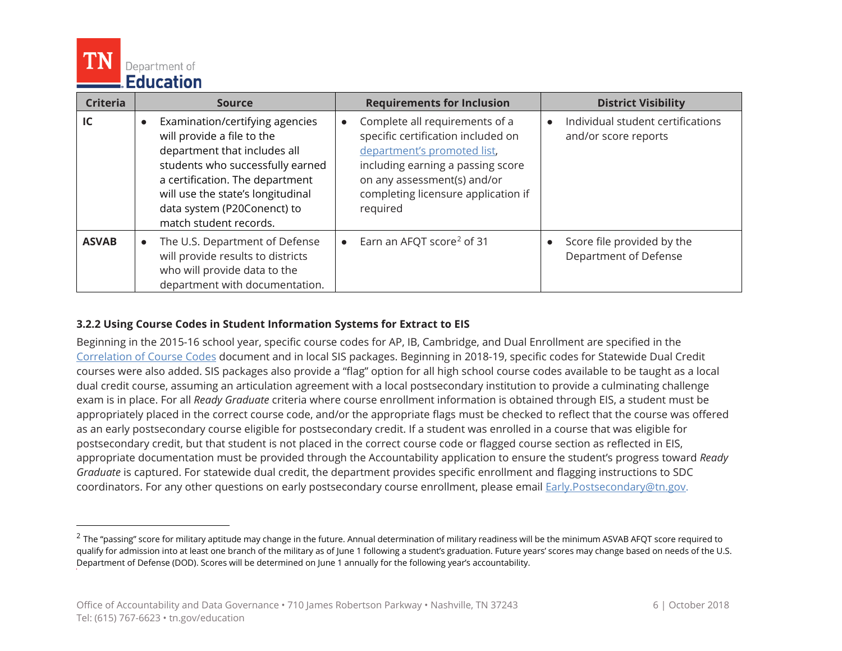

 $\overline{a}$ 

| <b>Criteria</b> | <b>Source</b>                                                                                                                                                                                                                                                                   | <b>Requirements for Inclusion</b>                                                                                                                                                                                                       | <b>District Visibility</b>                                |
|-----------------|---------------------------------------------------------------------------------------------------------------------------------------------------------------------------------------------------------------------------------------------------------------------------------|-----------------------------------------------------------------------------------------------------------------------------------------------------------------------------------------------------------------------------------------|-----------------------------------------------------------|
| IC              | Examination/certifying agencies<br>$\bullet$<br>will provide a file to the<br>department that includes all<br>students who successfully earned<br>a certification. The department<br>will use the state's longitudinal<br>data system (P20Conenct) to<br>match student records. | Complete all requirements of a<br>$\bullet$<br>specific certification included on<br>department's promoted list,<br>including earning a passing score<br>on any assessment(s) and/or<br>completing licensure application if<br>required | Individual student certifications<br>and/or score reports |
| <b>ASVAB</b>    | • The U.S. Department of Defense<br>will provide results to districts<br>who will provide data to the<br>department with documentation.                                                                                                                                         | Earn an AFQT score <sup>2</sup> of 31<br>$\bullet$                                                                                                                                                                                      | Score file provided by the<br>Department of Defense       |

#### **3.2.2 Using Course Codes in Student Information Systems for Extract to EIS**

Beginning in the 2015-16 school year, specific course codes for AP, IB, Cambridge, and Dual Enrollment are specified in the [Correlation of Course Codes](https://www.tn.gov/education/lea-operations/correlations-of-course-and-endorsment-codes.html) document and in local SIS packages. Beginning in 2018-19, specific codes for Statewide Dual Credit courses were also added. SIS packages also provide a "flag" option for all high school course codes available to be taught as a local dual credit course, assuming an articulation agreement with a local postsecondary institution to provide a culminating challenge exam is in place. For all *Ready Graduate* criteria where course enrollment information is obtained through EIS, a student must be appropriately placed in the correct course code, and/or the appropriate flags must be checked to reflect that the course was offered as an early postsecondary course eligible for postsecondary credit. If a student was enrolled in a course that was eligible for postsecondary credit, but that student is not placed in the correct course code or flagged course section as reflected in EIS, appropriate documentation must be provided through the Accountability application to ensure the student's progress toward *Ready Graduate* is captured. For statewide dual credit, the department provides specific enrollment and flagging instructions to SDC coordinators. For any other questions on early postsecondary course enrollment, please email [Early.Postsecondary@tn.gov.](mailto:Early.Postsecondary@tn.gov)

<span id="page-5-0"></span> $^{2}$  The "passing" score for military aptitude may change in the future. Annual determination of military readiness will be the minimum ASVAB AFQT score required to qualify for admission into at least one branch of the military as of June 1 following a student's graduation. Future years' scores may change based on needs of the U.S. Department of Defense (DOD). Scores will be determined on June 1 annually for the following year's accountability.